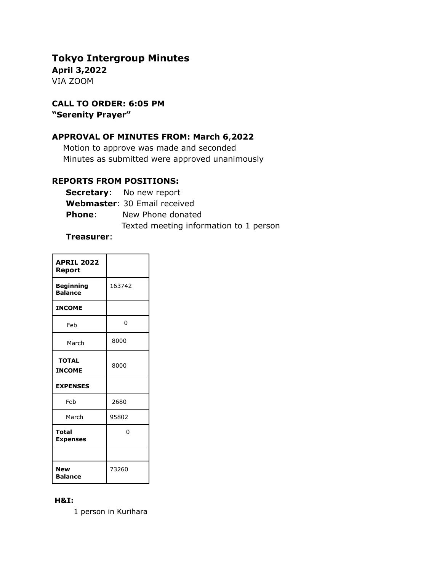# **Tokyo Intergroup Minutes**

**April 3,2022** VIA ZOOM

**CALL TO ORDER: 6:05 PM "Serenity Prayer"**

# **APPROVAL OF MINUTES FROM: March 6**,**2022**

Motion to approve was made and seconded Minutes as submitted were approved unanimously

# **REPORTS FROM POSITIONS:**

|               | <b>Secretary:</b> No new report        |
|---------------|----------------------------------------|
|               | <b>Webmaster: 30 Email received</b>    |
| <b>Phone:</b> | New Phone donated                      |
|               | Texted meeting information to 1 person |

#### **Treasurer**:

| <b>APRIL 2022</b><br>Report        |        |
|------------------------------------|--------|
| <b>Beginning</b><br><b>Balance</b> | 163742 |
| <b>INCOME</b>                      |        |
| Feb                                | 0      |
| March                              | 8000   |
| <b>TOTAL</b><br><b>INCOME</b>      | 8000   |
| <b>EXPENSES</b>                    |        |
| Feb                                | 2680   |
| March                              | 95802  |
| <b>Total</b><br><b>Expenses</b>    | 0      |
|                                    |        |
| <b>New</b><br><b>Balance</b>       | 73260  |

#### **H&I:**

1 person in Kurihara